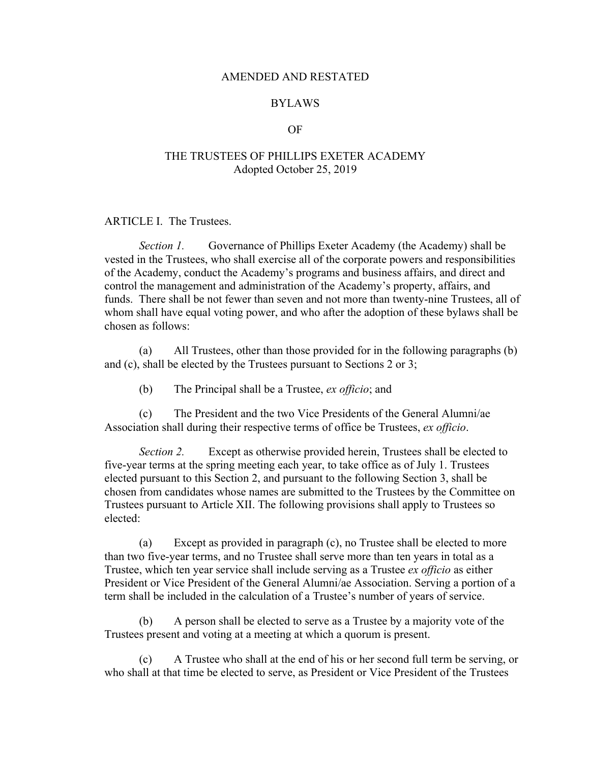### AMENDED AND RESTATED

### BYLAWS

#### OF

### THE TRUSTEES OF PHILLIPS EXETER ACADEMY Adopted October 25, 2019

### ARTICLE I. The Trustees.

*Section 1.* Governance of Phillips Exeter Academy (the Academy) shall be vested in the Trustees, who shall exercise all of the corporate powers and responsibilities of the Academy, conduct the Academy's programs and business affairs, and direct and control the management and administration of the Academy's property, affairs, and funds. There shall be not fewer than seven and not more than twenty-nine Trustees, all of whom shall have equal voting power, and who after the adoption of these bylaws shall be chosen as follows:

(a) All Trustees, other than those provided for in the following paragraphs (b) and (c), shall be elected by the Trustees pursuant to Sections 2 or 3;

(b) The Principal shall be a Trustee, *ex officio*; and

(c) The President and the two Vice Presidents of the General Alumni/ae Association shall during their respective terms of office be Trustees, *ex officio*.

*Section 2.* Except as otherwise provided herein, Trustees shall be elected to five-year terms at the spring meeting each year, to take office as of July 1. Trustees elected pursuant to this Section 2, and pursuant to the following Section 3, shall be chosen from candidates whose names are submitted to the Trustees by the Committee on Trustees pursuant to Article XII. The following provisions shall apply to Trustees so elected:

(a) Except as provided in paragraph (c), no Trustee shall be elected to more than two five-year terms, and no Trustee shall serve more than ten years in total as a Trustee, which ten year service shall include serving as a Trustee *ex officio* as either President or Vice President of the General Alumni/ae Association. Serving a portion of a term shall be included in the calculation of a Trustee's number of years of service.

(b) A person shall be elected to serve as a Trustee by a majority vote of the Trustees present and voting at a meeting at which a quorum is present.

(c) A Trustee who shall at the end of his or her second full term be serving, or who shall at that time be elected to serve, as President or Vice President of the Trustees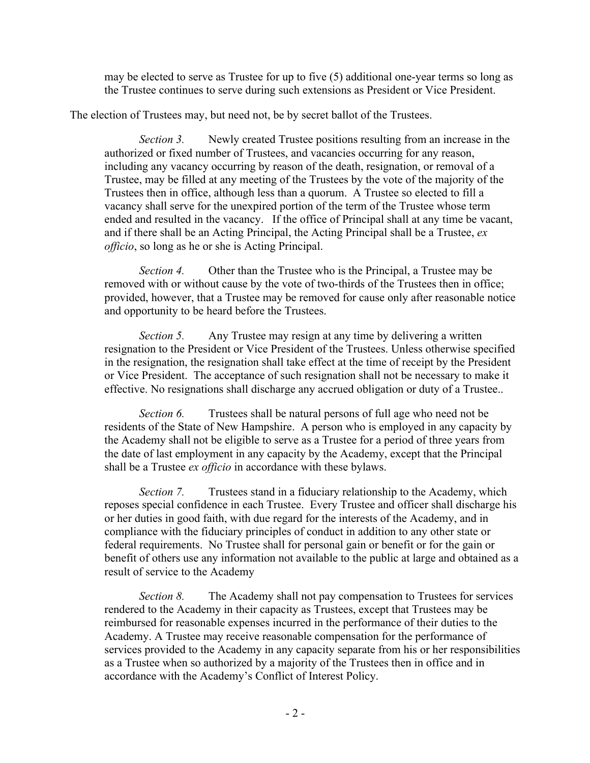may be elected to serve as Trustee for up to five (5) additional one-year terms so long as the Trustee continues to serve during such extensions as President or Vice President.

The election of Trustees may, but need not, be by secret ballot of the Trustees.

*Section 3.* Newly created Trustee positions resulting from an increase in the authorized or fixed number of Trustees, and vacancies occurring for any reason, including any vacancy occurring by reason of the death, resignation, or removal of a Trustee, may be filled at any meeting of the Trustees by the vote of the majority of the Trustees then in office, although less than a quorum. A Trustee so elected to fill a vacancy shall serve for the unexpired portion of the term of the Trustee whose term ended and resulted in the vacancy. If the office of Principal shall at any time be vacant, and if there shall be an Acting Principal, the Acting Principal shall be a Trustee, *ex officio*, so long as he or she is Acting Principal.

*Section 4.* Other than the Trustee who is the Principal, a Trustee may be removed with or without cause by the vote of two-thirds of the Trustees then in office; provided, however, that a Trustee may be removed for cause only after reasonable notice and opportunity to be heard before the Trustees.

*Section 5.* Any Trustee may resign at any time by delivering a written resignation to the President or Vice President of the Trustees. Unless otherwise specified in the resignation, the resignation shall take effect at the time of receipt by the President or Vice President. The acceptance of such resignation shall not be necessary to make it effective. No resignations shall discharge any accrued obligation or duty of a Trustee..

*Section 6.* Trustees shall be natural persons of full age who need not be residents of the State of New Hampshire. A person who is employed in any capacity by the Academy shall not be eligible to serve as a Trustee for a period of three years from the date of last employment in any capacity by the Academy, except that the Principal shall be a Trustee *ex officio* in accordance with these bylaws.

*Section 7.* Trustees stand in a fiduciary relationship to the Academy, which reposes special confidence in each Trustee. Every Trustee and officer shall discharge his or her duties in good faith, with due regard for the interests of the Academy, and in compliance with the fiduciary principles of conduct in addition to any other state or federal requirements. No Trustee shall for personal gain or benefit or for the gain or benefit of others use any information not available to the public at large and obtained as a result of service to the Academy

*Section 8.* The Academy shall not pay compensation to Trustees for services rendered to the Academy in their capacity as Trustees, except that Trustees may be reimbursed for reasonable expenses incurred in the performance of their duties to the Academy. A Trustee may receive reasonable compensation for the performance of services provided to the Academy in any capacity separate from his or her responsibilities as a Trustee when so authorized by a majority of the Trustees then in office and in accordance with the Academy's Conflict of Interest Policy.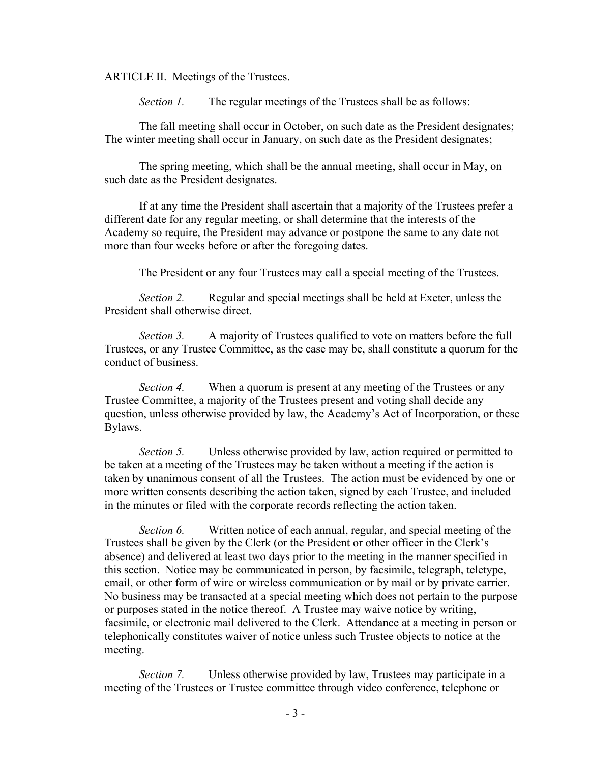ARTICLE II. Meetings of the Trustees.

*Section 1.* The regular meetings of the Trustees shall be as follows:

The fall meeting shall occur in October, on such date as the President designates; The winter meeting shall occur in January, on such date as the President designates;

The spring meeting, which shall be the annual meeting, shall occur in May, on such date as the President designates.

If at any time the President shall ascertain that a majority of the Trustees prefer a different date for any regular meeting, or shall determine that the interests of the Academy so require, the President may advance or postpone the same to any date not more than four weeks before or after the foregoing dates.

The President or any four Trustees may call a special meeting of the Trustees.

*Section 2.* Regular and special meetings shall be held at Exeter, unless the President shall otherwise direct.

*Section 3.* A majority of Trustees qualified to vote on matters before the full Trustees, or any Trustee Committee, as the case may be, shall constitute a quorum for the conduct of business.

*Section 4.* When a quorum is present at any meeting of the Trustees or any Trustee Committee, a majority of the Trustees present and voting shall decide any question, unless otherwise provided by law, the Academy's Act of Incorporation, or these Bylaws.

*Section 5.* Unless otherwise provided by law, action required or permitted to be taken at a meeting of the Trustees may be taken without a meeting if the action is taken by unanimous consent of all the Trustees. The action must be evidenced by one or more written consents describing the action taken, signed by each Trustee, and included in the minutes or filed with the corporate records reflecting the action taken.

*Section 6.* Written notice of each annual, regular, and special meeting of the Trustees shall be given by the Clerk (or the President or other officer in the Clerk's absence) and delivered at least two days prior to the meeting in the manner specified in this section. Notice may be communicated in person, by facsimile, telegraph, teletype, email, or other form of wire or wireless communication or by mail or by private carrier. No business may be transacted at a special meeting which does not pertain to the purpose or purposes stated in the notice thereof. A Trustee may waive notice by writing, facsimile, or electronic mail delivered to the Clerk. Attendance at a meeting in person or telephonically constitutes waiver of notice unless such Trustee objects to notice at the meeting.

*Section 7.* Unless otherwise provided by law, Trustees may participate in a meeting of the Trustees or Trustee committee through video conference, telephone or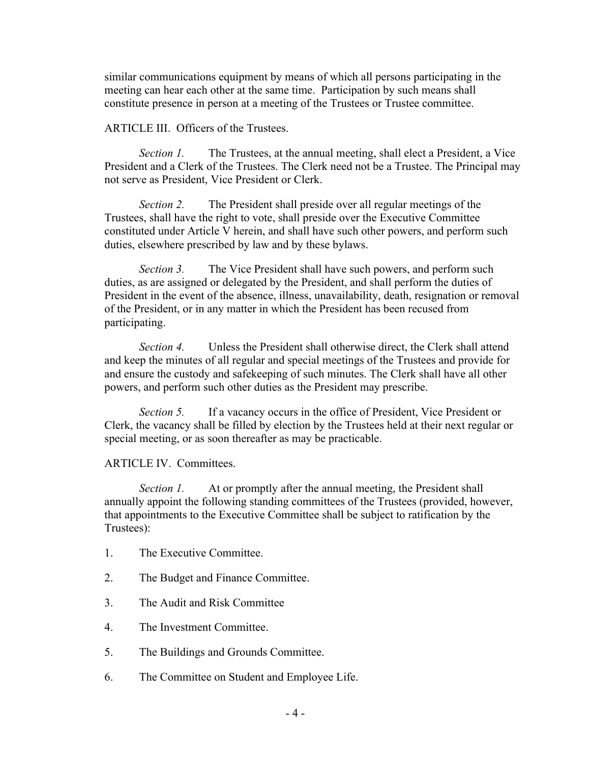similar communications equipment by means of which all persons participating in the meeting can hear each other at the same time. Participation by such means shall constitute presence in person at a meeting of the Trustees or Trustee committee.

### ARTICLE III. Officers of the Trustees.

*Section 1.* The Trustees, at the annual meeting, shall elect a President, a Vice President and a Clerk of the Trustees. The Clerk need not be a Trustee. The Principal may not serve as President, Vice President or Clerk.

*Section 2.* The President shall preside over all regular meetings of the Trustees, shall have the right to vote, shall preside over the Executive Committee constituted under Article V herein, and shall have such other powers, and perform such duties, elsewhere prescribed by law and by these bylaws.

*Section 3.* The Vice President shall have such powers, and perform such duties, as are assigned or delegated by the President, and shall perform the duties of President in the event of the absence, illness, unavailability, death, resignation or removal of the President, or in any matter in which the President has been recused from participating.

*Section 4.* Unless the President shall otherwise direct, the Clerk shall attend and keep the minutes of all regular and special meetings of the Trustees and provide for and ensure the custody and safekeeping of such minutes. The Clerk shall have all other powers, and perform such other duties as the President may prescribe.

*Section 5.* If a vacancy occurs in the office of President, Vice President or Clerk, the vacancy shall be filled by election by the Trustees held at their next regular or special meeting, or as soon thereafter as may be practicable.

## ARTICLE IV. Committees.

*Section 1.* At or promptly after the annual meeting, the President shall annually appoint the following standing committees of the Trustees (provided, however, that appointments to the Executive Committee shall be subject to ratification by the Trustees):

- 1. The Executive Committee.
- 2. The Budget and Finance Committee.
- 3. The Audit and Risk Committee
- 4. The Investment Committee.
- 5. The Buildings and Grounds Committee.
- 6. The Committee on Student and Employee Life.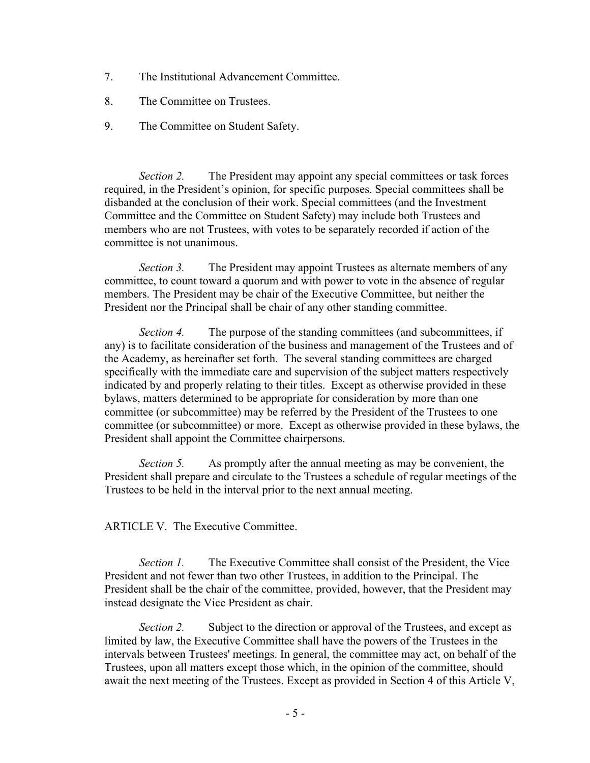- 7. The Institutional Advancement Committee.
- 8. The Committee on Trustees.
- 9. The Committee on Student Safety.

*Section 2.* The President may appoint any special committees or task forces required, in the President's opinion, for specific purposes. Special committees shall be disbanded at the conclusion of their work. Special committees (and the Investment Committee and the Committee on Student Safety) may include both Trustees and members who are not Trustees, with votes to be separately recorded if action of the committee is not unanimous.

*Section 3.* The President may appoint Trustees as alternate members of any committee, to count toward a quorum and with power to vote in the absence of regular members. The President may be chair of the Executive Committee, but neither the President nor the Principal shall be chair of any other standing committee.

*Section 4.* The purpose of the standing committees (and subcommittees, if any) is to facilitate consideration of the business and management of the Trustees and of the Academy, as hereinafter set forth. The several standing committees are charged specifically with the immediate care and supervision of the subject matters respectively indicated by and properly relating to their titles. Except as otherwise provided in these bylaws, matters determined to be appropriate for consideration by more than one committee (or subcommittee) may be referred by the President of the Trustees to one committee (or subcommittee) or more. Except as otherwise provided in these bylaws, the President shall appoint the Committee chairpersons.

*Section 5.* As promptly after the annual meeting as may be convenient, the President shall prepare and circulate to the Trustees a schedule of regular meetings of the Trustees to be held in the interval prior to the next annual meeting.

ARTICLE V. The Executive Committee.

*Section 1.* The Executive Committee shall consist of the President, the Vice President and not fewer than two other Trustees, in addition to the Principal. The President shall be the chair of the committee, provided, however, that the President may instead designate the Vice President as chair.

*Section 2.* Subject to the direction or approval of the Trustees, and except as limited by law, the Executive Committee shall have the powers of the Trustees in the intervals between Trustees' meetings. In general, the committee may act, on behalf of the Trustees, upon all matters except those which, in the opinion of the committee, should await the next meeting of the Trustees. Except as provided in Section 4 of this Article V,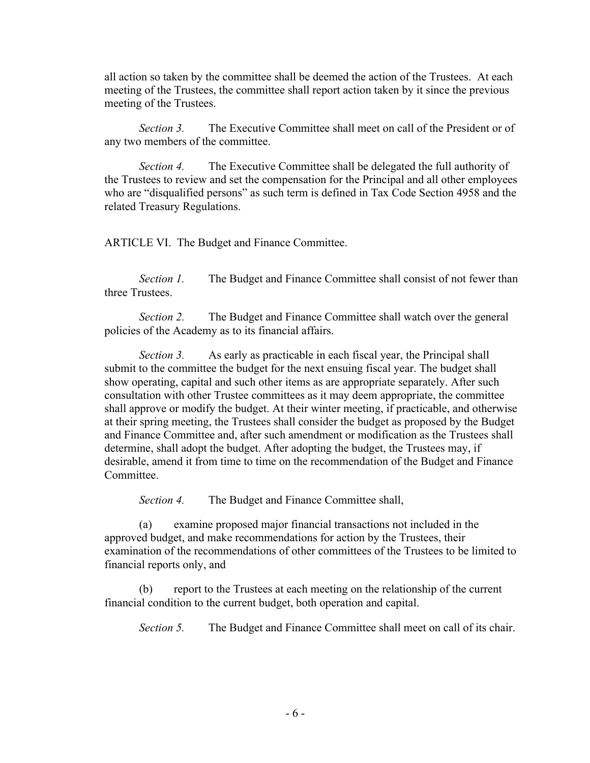all action so taken by the committee shall be deemed the action of the Trustees. At each meeting of the Trustees, the committee shall report action taken by it since the previous meeting of the Trustees.

*Section 3.* The Executive Committee shall meet on call of the President or of any two members of the committee.

*Section 4.* The Executive Committee shall be delegated the full authority of the Trustees to review and set the compensation for the Principal and all other employees who are "disqualified persons" as such term is defined in Tax Code Section 4958 and the related Treasury Regulations.

ARTICLE VI. The Budget and Finance Committee.

*Section 1.* The Budget and Finance Committee shall consist of not fewer than three Trustees.

*Section 2.* The Budget and Finance Committee shall watch over the general policies of the Academy as to its financial affairs.

*Section 3.* As early as practicable in each fiscal year, the Principal shall submit to the committee the budget for the next ensuing fiscal year. The budget shall show operating, capital and such other items as are appropriate separately. After such consultation with other Trustee committees as it may deem appropriate, the committee shall approve or modify the budget. At their winter meeting, if practicable, and otherwise at their spring meeting, the Trustees shall consider the budget as proposed by the Budget and Finance Committee and, after such amendment or modification as the Trustees shall determine, shall adopt the budget. After adopting the budget, the Trustees may, if desirable, amend it from time to time on the recommendation of the Budget and Finance Committee.

*Section 4.* The Budget and Finance Committee shall,

(a) examine proposed major financial transactions not included in the approved budget, and make recommendations for action by the Trustees, their examination of the recommendations of other committees of the Trustees to be limited to financial reports only, and

(b) report to the Trustees at each meeting on the relationship of the current financial condition to the current budget, both operation and capital.

*Section 5.* The Budget and Finance Committee shall meet on call of its chair.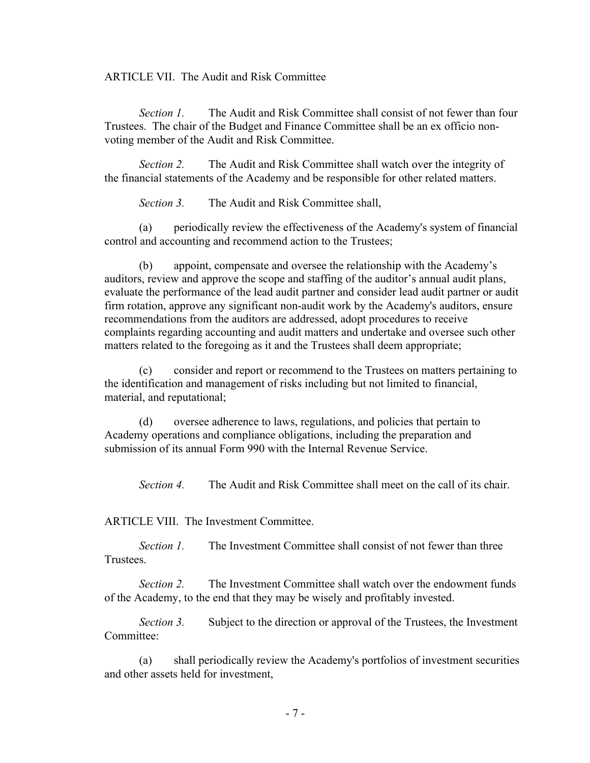ARTICLE VII. The Audit and Risk Committee

*Section 1.* The Audit and Risk Committee shall consist of not fewer than four Trustees. The chair of the Budget and Finance Committee shall be an ex officio nonvoting member of the Audit and Risk Committee.

*Section 2.* The Audit and Risk Committee shall watch over the integrity of the financial statements of the Academy and be responsible for other related matters.

*Section 3.* The Audit and Risk Committee shall,

(a) periodically review the effectiveness of the Academy's system of financial control and accounting and recommend action to the Trustees;

(b) appoint, compensate and oversee the relationship with the Academy's auditors, review and approve the scope and staffing of the auditor's annual audit plans, evaluate the performance of the lead audit partner and consider lead audit partner or audit firm rotation, approve any significant non-audit work by the Academy's auditors, ensure recommendations from the auditors are addressed, adopt procedures to receive complaints regarding accounting and audit matters and undertake and oversee such other matters related to the foregoing as it and the Trustees shall deem appropriate;

(c) consider and report or recommend to the Trustees on matters pertaining to the identification and management of risks including but not limited to financial, material, and reputational;

(d) oversee adherence to laws, regulations, and policies that pertain to Academy operations and compliance obligations, including the preparation and submission of its annual Form 990 with the Internal Revenue Service.

*Section 4.* The Audit and Risk Committee shall meet on the call of its chair.

ARTICLE VIII. The Investment Committee.

*Section 1.* The Investment Committee shall consist of not fewer than three Trustees.

*Section 2.* The Investment Committee shall watch over the endowment funds of the Academy, to the end that they may be wisely and profitably invested.

*Section 3.* Subject to the direction or approval of the Trustees, the Investment Committee:

(a) shall periodically review the Academy's portfolios of investment securities and other assets held for investment,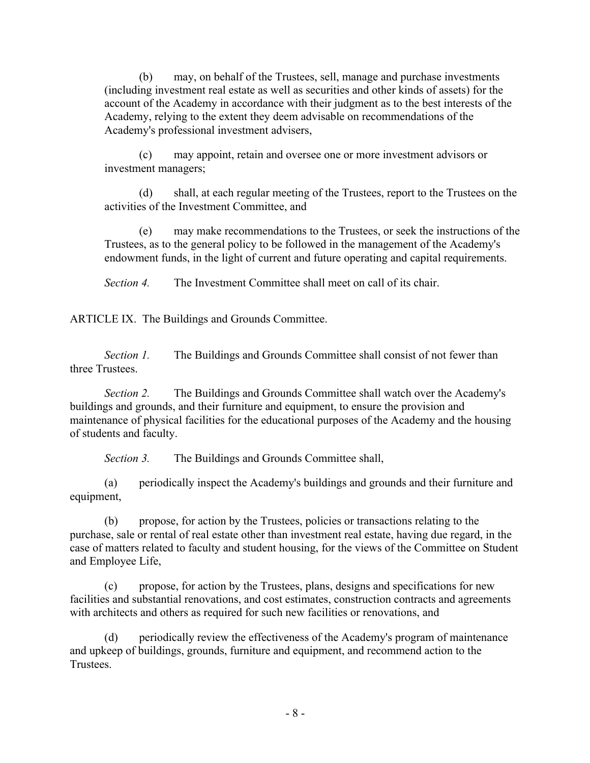(b) may, on behalf of the Trustees, sell, manage and purchase investments (including investment real estate as well as securities and other kinds of assets) for the account of the Academy in accordance with their judgment as to the best interests of the Academy, relying to the extent they deem advisable on recommendations of the Academy's professional investment advisers,

(c) may appoint, retain and oversee one or more investment advisors or investment managers;

(d) shall, at each regular meeting of the Trustees, report to the Trustees on the activities of the Investment Committee, and

(e) may make recommendations to the Trustees, or seek the instructions of the Trustees, as to the general policy to be followed in the management of the Academy's endowment funds, in the light of current and future operating and capital requirements.

*Section 4.* The Investment Committee shall meet on call of its chair.

ARTICLE IX. The Buildings and Grounds Committee.

*Section 1.* The Buildings and Grounds Committee shall consist of not fewer than three Trustees.

*Section 2.* The Buildings and Grounds Committee shall watch over the Academy's buildings and grounds, and their furniture and equipment, to ensure the provision and maintenance of physical facilities for the educational purposes of the Academy and the housing of students and faculty.

*Section 3.* The Buildings and Grounds Committee shall,

(a) periodically inspect the Academy's buildings and grounds and their furniture and equipment,

(b) propose, for action by the Trustees, policies or transactions relating to the purchase, sale or rental of real estate other than investment real estate, having due regard, in the case of matters related to faculty and student housing, for the views of the Committee on Student and Employee Life,

(c) propose, for action by the Trustees, plans, designs and specifications for new facilities and substantial renovations, and cost estimates, construction contracts and agreements with architects and others as required for such new facilities or renovations, and

(d) periodically review the effectiveness of the Academy's program of maintenance and upkeep of buildings, grounds, furniture and equipment, and recommend action to the Trustees.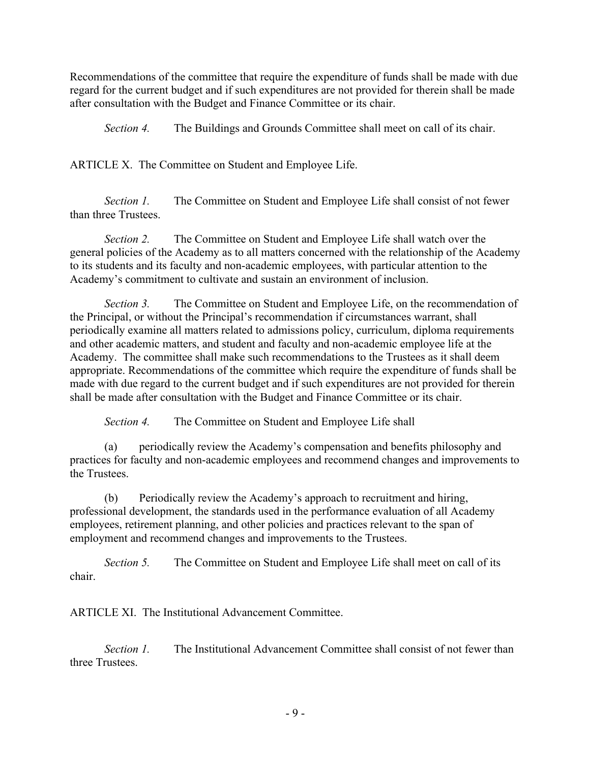Recommendations of the committee that require the expenditure of funds shall be made with due regard for the current budget and if such expenditures are not provided for therein shall be made after consultation with the Budget and Finance Committee or its chair.

*Section 4.* The Buildings and Grounds Committee shall meet on call of its chair.

ARTICLE X. The Committee on Student and Employee Life.

*Section 1.* The Committee on Student and Employee Life shall consist of not fewer than three Trustees.

*Section 2.* The Committee on Student and Employee Life shall watch over the general policies of the Academy as to all matters concerned with the relationship of the Academy to its students and its faculty and non-academic employees, with particular attention to the Academy's commitment to cultivate and sustain an environment of inclusion.

*Section 3.* The Committee on Student and Employee Life, on the recommendation of the Principal, or without the Principal's recommendation if circumstances warrant, shall periodically examine all matters related to admissions policy, curriculum, diploma requirements and other academic matters, and student and faculty and non-academic employee life at the Academy. The committee shall make such recommendations to the Trustees as it shall deem appropriate. Recommendations of the committee which require the expenditure of funds shall be made with due regard to the current budget and if such expenditures are not provided for therein shall be made after consultation with the Budget and Finance Committee or its chair.

*Section 4.* The Committee on Student and Employee Life shall

(a) periodically review the Academy's compensation and benefits philosophy and practices for faculty and non-academic employees and recommend changes and improvements to the Trustees.

(b) Periodically review the Academy's approach to recruitment and hiring, professional development, the standards used in the performance evaluation of all Academy employees, retirement planning, and other policies and practices relevant to the span of employment and recommend changes and improvements to the Trustees.

*Section 5.* The Committee on Student and Employee Life shall meet on call of its chair.

ARTICLE XI. The Institutional Advancement Committee.

*Section 1.* The Institutional Advancement Committee shall consist of not fewer than three Trustees.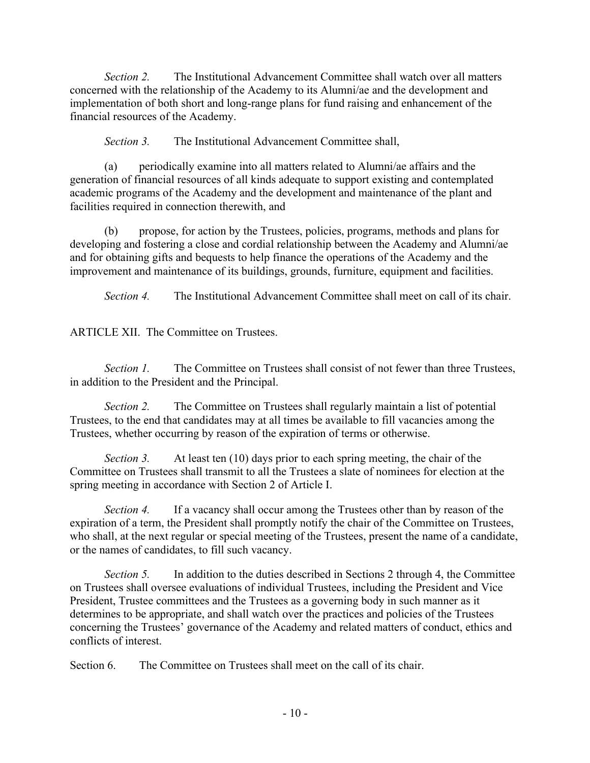*Section 2.* The Institutional Advancement Committee shall watch over all matters concerned with the relationship of the Academy to its Alumni/ae and the development and implementation of both short and long-range plans for fund raising and enhancement of the financial resources of the Academy.

*Section 3.* The Institutional Advancement Committee shall,

(a) periodically examine into all matters related to Alumni/ae affairs and the generation of financial resources of all kinds adequate to support existing and contemplated academic programs of the Academy and the development and maintenance of the plant and facilities required in connection therewith, and

(b) propose, for action by the Trustees, policies, programs, methods and plans for developing and fostering a close and cordial relationship between the Academy and Alumni/ae and for obtaining gifts and bequests to help finance the operations of the Academy and the improvement and maintenance of its buildings, grounds, furniture, equipment and facilities.

*Section 4.* The Institutional Advancement Committee shall meet on call of its chair.

ARTICLE XII. The Committee on Trustees.

*Section 1.* The Committee on Trustees shall consist of not fewer than three Trustees, in addition to the President and the Principal.

*Section 2.* The Committee on Trustees shall regularly maintain a list of potential Trustees, to the end that candidates may at all times be available to fill vacancies among the Trustees, whether occurring by reason of the expiration of terms or otherwise.

*Section 3.* At least ten (10) days prior to each spring meeting, the chair of the Committee on Trustees shall transmit to all the Trustees a slate of nominees for election at the spring meeting in accordance with Section 2 of Article I.

*Section 4.* If a vacancy shall occur among the Trustees other than by reason of the expiration of a term, the President shall promptly notify the chair of the Committee on Trustees, who shall, at the next regular or special meeting of the Trustees, present the name of a candidate, or the names of candidates, to fill such vacancy.

*Section 5.* In addition to the duties described in Sections 2 through 4, the Committee on Trustees shall oversee evaluations of individual Trustees, including the President and Vice President, Trustee committees and the Trustees as a governing body in such manner as it determines to be appropriate, and shall watch over the practices and policies of the Trustees concerning the Trustees' governance of the Academy and related matters of conduct, ethics and conflicts of interest.

Section 6. The Committee on Trustees shall meet on the call of its chair.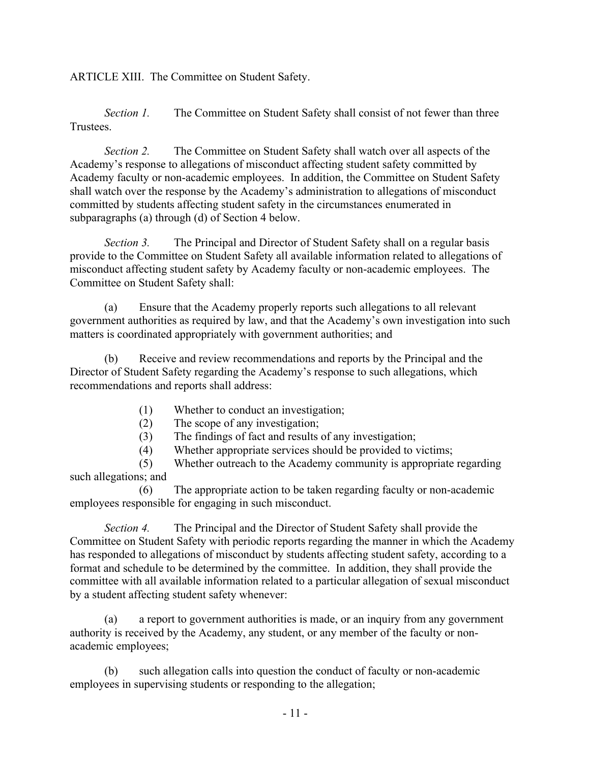ARTICLE XIII. The Committee on Student Safety.

*Section 1.* The Committee on Student Safety shall consist of not fewer than three Trustees.

*Section 2.* The Committee on Student Safety shall watch over all aspects of the Academy's response to allegations of misconduct affecting student safety committed by Academy faculty or non-academic employees. In addition, the Committee on Student Safety shall watch over the response by the Academy's administration to allegations of misconduct committed by students affecting student safety in the circumstances enumerated in subparagraphs (a) through (d) of Section 4 below.

*Section 3.* The Principal and Director of Student Safety shall on a regular basis provide to the Committee on Student Safety all available information related to allegations of misconduct affecting student safety by Academy faculty or non-academic employees. The Committee on Student Safety shall:

(a) Ensure that the Academy properly reports such allegations to all relevant government authorities as required by law, and that the Academy's own investigation into such matters is coordinated appropriately with government authorities; and

(b) Receive and review recommendations and reports by the Principal and the Director of Student Safety regarding the Academy's response to such allegations, which recommendations and reports shall address:

- (1) Whether to conduct an investigation;
- (2) The scope of any investigation;
- (3) The findings of fact and results of any investigation;
- (4) Whether appropriate services should be provided to victims;

(5) Whether outreach to the Academy community is appropriate regarding such allegations; and

(6) The appropriate action to be taken regarding faculty or non-academic employees responsible for engaging in such misconduct.

*Section 4.* The Principal and the Director of Student Safety shall provide the Committee on Student Safety with periodic reports regarding the manner in which the Academy has responded to allegations of misconduct by students affecting student safety, according to a format and schedule to be determined by the committee. In addition, they shall provide the committee with all available information related to a particular allegation of sexual misconduct by a student affecting student safety whenever:

(a) a report to government authorities is made, or an inquiry from any government authority is received by the Academy, any student, or any member of the faculty or nonacademic employees;

(b) such allegation calls into question the conduct of faculty or non-academic employees in supervising students or responding to the allegation;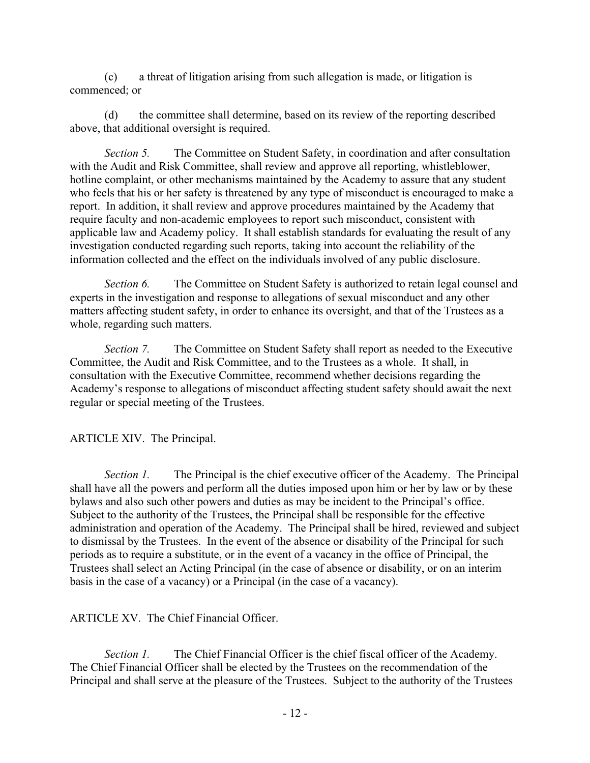(c) a threat of litigation arising from such allegation is made, or litigation is commenced; or

(d) the committee shall determine, based on its review of the reporting described above, that additional oversight is required.

*Section 5.* The Committee on Student Safety, in coordination and after consultation with the Audit and Risk Committee, shall review and approve all reporting, whistleblower, hotline complaint, or other mechanisms maintained by the Academy to assure that any student who feels that his or her safety is threatened by any type of misconduct is encouraged to make a report. In addition, it shall review and approve procedures maintained by the Academy that require faculty and non-academic employees to report such misconduct, consistent with applicable law and Academy policy. It shall establish standards for evaluating the result of any investigation conducted regarding such reports, taking into account the reliability of the information collected and the effect on the individuals involved of any public disclosure.

*Section 6.* The Committee on Student Safety is authorized to retain legal counsel and experts in the investigation and response to allegations of sexual misconduct and any other matters affecting student safety, in order to enhance its oversight, and that of the Trustees as a whole, regarding such matters.

*Section 7.* The Committee on Student Safety shall report as needed to the Executive Committee, the Audit and Risk Committee, and to the Trustees as a whole. It shall, in consultation with the Executive Committee, recommend whether decisions regarding the Academy's response to allegations of misconduct affecting student safety should await the next regular or special meeting of the Trustees.

ARTICLE XIV. The Principal.

*Section 1.* The Principal is the chief executive officer of the Academy. The Principal shall have all the powers and perform all the duties imposed upon him or her by law or by these bylaws and also such other powers and duties as may be incident to the Principal's office. Subject to the authority of the Trustees, the Principal shall be responsible for the effective administration and operation of the Academy. The Principal shall be hired, reviewed and subject to dismissal by the Trustees. In the event of the absence or disability of the Principal for such periods as to require a substitute, or in the event of a vacancy in the office of Principal, the Trustees shall select an Acting Principal (in the case of absence or disability, or on an interim basis in the case of a vacancy) or a Principal (in the case of a vacancy).

ARTICLE XV. The Chief Financial Officer.

*Section 1.* The Chief Financial Officer is the chief fiscal officer of the Academy. The Chief Financial Officer shall be elected by the Trustees on the recommendation of the Principal and shall serve at the pleasure of the Trustees. Subject to the authority of the Trustees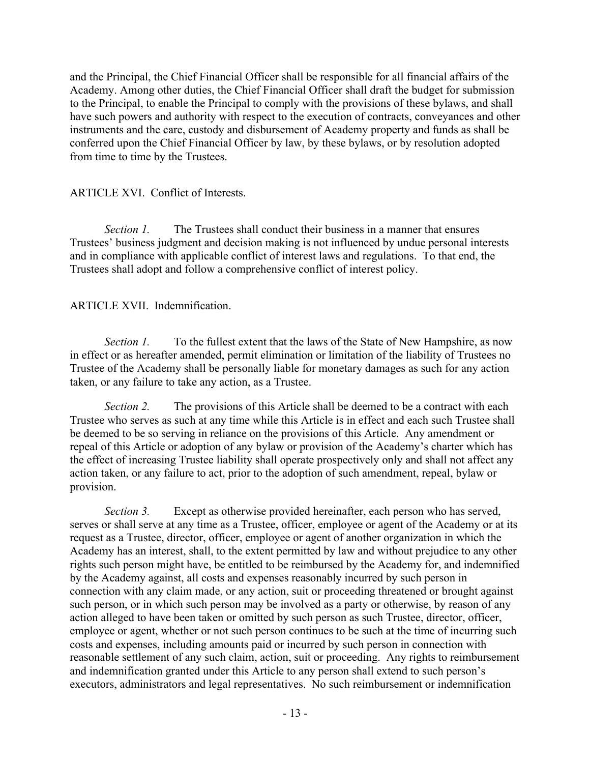and the Principal, the Chief Financial Officer shall be responsible for all financial affairs of the Academy. Among other duties, the Chief Financial Officer shall draft the budget for submission to the Principal, to enable the Principal to comply with the provisions of these bylaws, and shall have such powers and authority with respect to the execution of contracts, conveyances and other instruments and the care, custody and disbursement of Academy property and funds as shall be conferred upon the Chief Financial Officer by law, by these bylaws, or by resolution adopted from time to time by the Trustees.

## ARTICLE XVI. Conflict of Interests.

*Section 1.* The Trustees shall conduct their business in a manner that ensures Trustees' business judgment and decision making is not influenced by undue personal interests and in compliance with applicable conflict of interest laws and regulations. To that end, the Trustees shall adopt and follow a comprehensive conflict of interest policy.

# ARTICLE XVII. Indemnification.

*Section 1.* To the fullest extent that the laws of the State of New Hampshire, as now in effect or as hereafter amended, permit elimination or limitation of the liability of Trustees no Trustee of the Academy shall be personally liable for monetary damages as such for any action taken, or any failure to take any action, as a Trustee.

*Section 2.* The provisions of this Article shall be deemed to be a contract with each Trustee who serves as such at any time while this Article is in effect and each such Trustee shall be deemed to be so serving in reliance on the provisions of this Article. Any amendment or repeal of this Article or adoption of any bylaw or provision of the Academy's charter which has the effect of increasing Trustee liability shall operate prospectively only and shall not affect any action taken, or any failure to act, prior to the adoption of such amendment, repeal, bylaw or provision.

*Section 3.* Except as otherwise provided hereinafter, each person who has served, serves or shall serve at any time as a Trustee, officer, employee or agent of the Academy or at its request as a Trustee, director, officer, employee or agent of another organization in which the Academy has an interest, shall, to the extent permitted by law and without prejudice to any other rights such person might have, be entitled to be reimbursed by the Academy for, and indemnified by the Academy against, all costs and expenses reasonably incurred by such person in connection with any claim made, or any action, suit or proceeding threatened or brought against such person, or in which such person may be involved as a party or otherwise, by reason of any action alleged to have been taken or omitted by such person as such Trustee, director, officer, employee or agent, whether or not such person continues to be such at the time of incurring such costs and expenses, including amounts paid or incurred by such person in connection with reasonable settlement of any such claim, action, suit or proceeding. Any rights to reimbursement and indemnification granted under this Article to any person shall extend to such person's executors, administrators and legal representatives. No such reimbursement or indemnification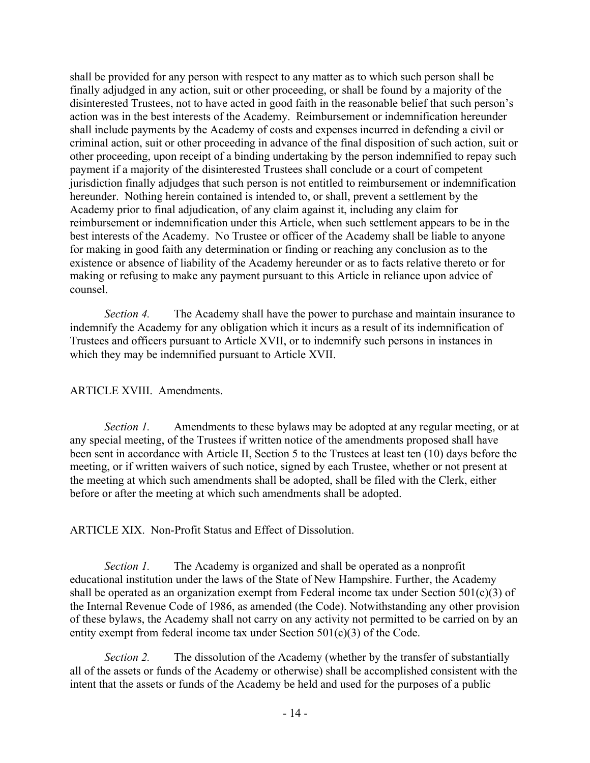shall be provided for any person with respect to any matter as to which such person shall be finally adjudged in any action, suit or other proceeding, or shall be found by a majority of the disinterested Trustees, not to have acted in good faith in the reasonable belief that such person's action was in the best interests of the Academy. Reimbursement or indemnification hereunder shall include payments by the Academy of costs and expenses incurred in defending a civil or criminal action, suit or other proceeding in advance of the final disposition of such action, suit or other proceeding, upon receipt of a binding undertaking by the person indemnified to repay such payment if a majority of the disinterested Trustees shall conclude or a court of competent jurisdiction finally adjudges that such person is not entitled to reimbursement or indemnification hereunder. Nothing herein contained is intended to, or shall, prevent a settlement by the Academy prior to final adjudication, of any claim against it, including any claim for reimbursement or indemnification under this Article, when such settlement appears to be in the best interests of the Academy. No Trustee or officer of the Academy shall be liable to anyone for making in good faith any determination or finding or reaching any conclusion as to the existence or absence of liability of the Academy hereunder or as to facts relative thereto or for making or refusing to make any payment pursuant to this Article in reliance upon advice of counsel.

*Section 4.* The Academy shall have the power to purchase and maintain insurance to indemnify the Academy for any obligation which it incurs as a result of its indemnification of Trustees and officers pursuant to Article XVII, or to indemnify such persons in instances in which they may be indemnified pursuant to Article XVII.

## ARTICLE XVIII. Amendments.

*Section 1.* Amendments to these bylaws may be adopted at any regular meeting, or at any special meeting, of the Trustees if written notice of the amendments proposed shall have been sent in accordance with Article II, Section 5 to the Trustees at least ten (10) days before the meeting, or if written waivers of such notice, signed by each Trustee, whether or not present at the meeting at which such amendments shall be adopted, shall be filed with the Clerk, either before or after the meeting at which such amendments shall be adopted.

ARTICLE XIX. Non-Profit Status and Effect of Dissolution.

*Section 1.* The Academy is organized and shall be operated as a nonprofit educational institution under the laws of the State of New Hampshire. Further, the Academy shall be operated as an organization exempt from Federal income tax under Section 501(c)(3) of the Internal Revenue Code of 1986, as amended (the Code). Notwithstanding any other provision of these bylaws, the Academy shall not carry on any activity not permitted to be carried on by an entity exempt from federal income tax under Section 501(c)(3) of the Code.

*Section 2.* The dissolution of the Academy (whether by the transfer of substantially all of the assets or funds of the Academy or otherwise) shall be accomplished consistent with the intent that the assets or funds of the Academy be held and used for the purposes of a public